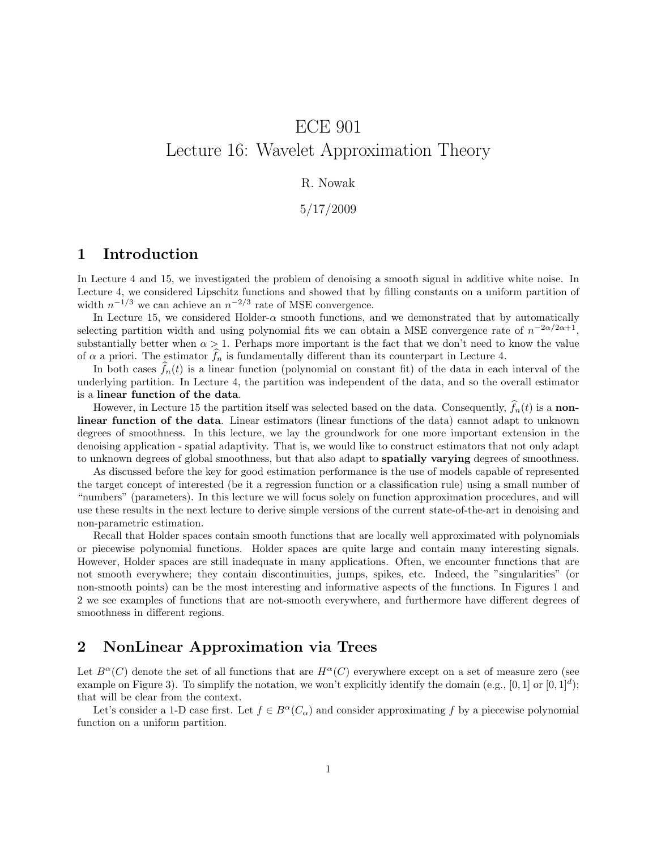# ECE 901 Lecture 16: Wavelet Approximation Theory

#### R. Nowak

5/17/2009

## 1 Introduction

In Lecture 4 and 15, we investigated the problem of denoising a smooth signal in additive white noise. In Lecture 4, we considered Lipschitz functions and showed that by filling constants on a uniform partition of width  $n^{-1/3}$  we can achieve an  $n^{-2/3}$  rate of MSE convergence.

In Lecture 15, we considered Holder- $\alpha$  smooth functions, and we demonstrated that by automatically selecting partition width and using polynomial fits we can obtain a MSE convergence rate of  $n^{-2\alpha/2\alpha+1}$ , substantially better when  $\alpha > 1$ . Perhaps more important is the fact that we don't need to know the value of  $\alpha$  a priori. The estimator  $\widehat{f}_n$  is fundamentally different than its counterpart in Lecture 4.

In both cases  $f_n(t)$  is a linear function (polynomial on constant fit) of the data in each interval of the underlying partition. In Lecture 4, the partition was independent of the data, and so the overall estimator is a linear function of the data.

However, in Lecture 15 the partition itself was selected based on the data. Consequently,  $f_n(t)$  is a nonlinear function of the data. Linear estimators (linear functions of the data) cannot adapt to unknown degrees of smoothness. In this lecture, we lay the groundwork for one more important extension in the denoising application - spatial adaptivity. That is, we would like to construct estimators that not only adapt to unknown degrees of global smoothness, but that also adapt to **spatially varying** degrees of smoothness.

As discussed before the key for good estimation performance is the use of models capable of represented the target concept of interested (be it a regression function or a classification rule) using a small number of "numbers" (parameters). In this lecture we will focus solely on function approximation procedures, and will use these results in the next lecture to derive simple versions of the current state-of-the-art in denoising and non-parametric estimation.

Recall that Holder spaces contain smooth functions that are locally well approximated with polynomials or piecewise polynomial functions. Holder spaces are quite large and contain many interesting signals. However, Holder spaces are still inadequate in many applications. Often, we encounter functions that are not smooth everywhere; they contain discontinuities, jumps, spikes, etc. Indeed, the "singularities" (or non-smooth points) can be the most interesting and informative aspects of the functions. In Figures 1 and 2 we see examples of functions that are not-smooth everywhere, and furthermore have different degrees of smoothness in different regions.

### 2 NonLinear Approximation via Trees

Let  $B^{\alpha}(C)$  denote the set of all functions that are  $H^{\alpha}(C)$  everywhere except on a set of measure zero (see example on Figure 3). To simplify the notation, we won't explicitly identify the domain (e.g.,  $[0,1]$  or  $[0,1]^d$ ); that will be clear from the context.

Let's consider a 1-D case first. Let  $f \in B^{\alpha}(C_{\alpha})$  and consider approximating f by a piecewise polynomial function on a uniform partition.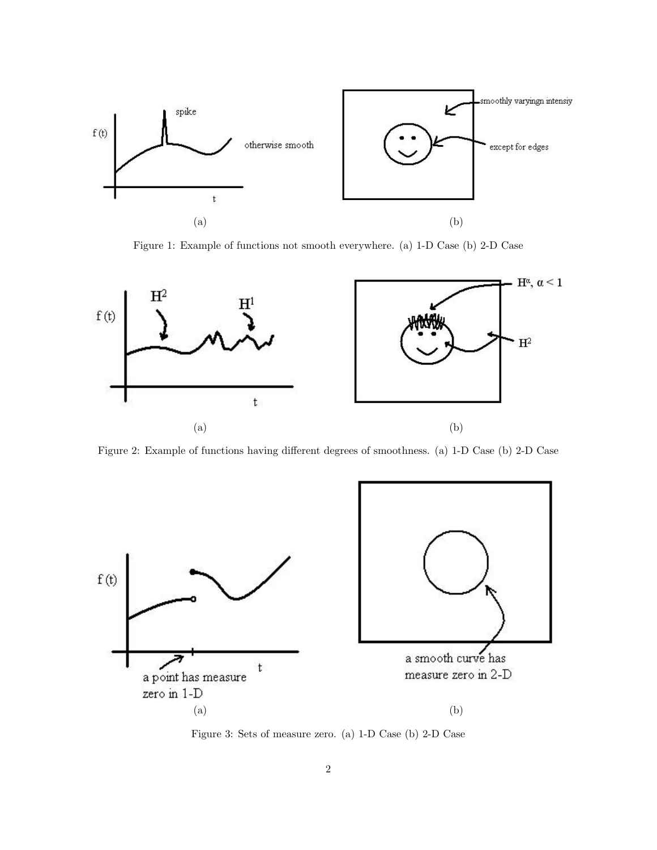

Figure 1: Example of functions not smooth everywhere. (a) 1-D Case (b) 2-D Case



Figure 2: Example of functions having different degrees of smoothness. (a) 1-D Case (b) 2-D Case



<span id="page-1-0"></span>Figure 3: Sets of measure zero. (a) 1-D Case (b) 2-D Case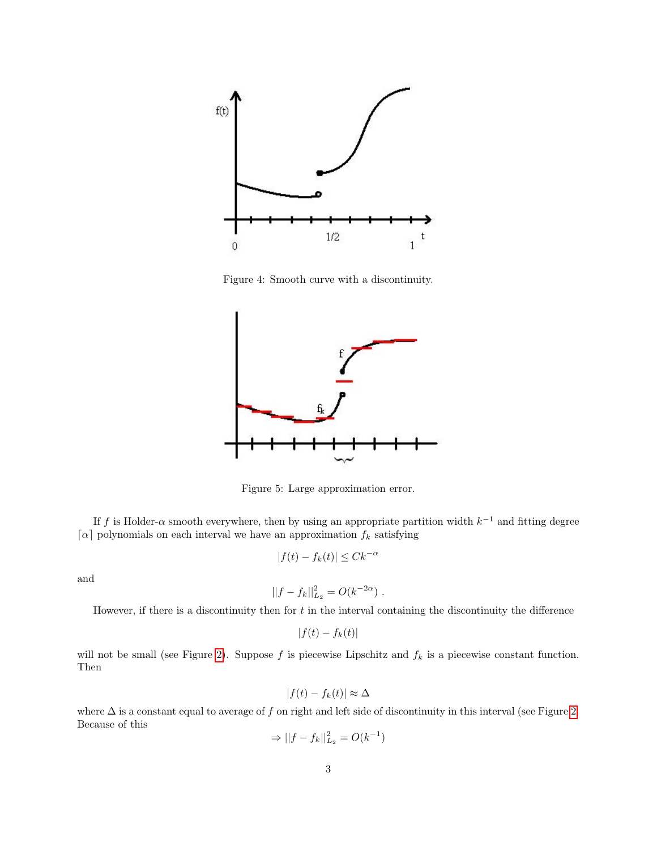

<span id="page-2-0"></span>Figure 4: Smooth curve with a discontinuity.



Figure 5: Large approximation error.

If f is Holder- $\alpha$  smooth everywhere, then by using an appropriate partition width  $k^{-1}$  and fitting degree  $\lceil \alpha \rceil$  polynomials on each interval we have an approximation  $f_k$  satisfying

$$
|f(t) - f_k(t)| \leq C k^{-\alpha}
$$

and

$$
||f - f_k||_{L_2}^2 = O(k^{-2\alpha}).
$$

However, if there is a discontinuity then for  $t$  in the interval containing the discontinuity the difference

$$
|f(t) - f_k(t)|
$$

will not be small (see Figure [2\)](#page-1-0). Suppose f is piecewise Lipschitz and  $f_k$  is a piecewise constant function. Then

$$
|f(t) - f_k(t)| \approx \Delta
$$

where  $\Delta$  is a constant equal to average of f on right and left side of discontinuity in this interval (see Figure [2.](#page-2-0) Because of this

$$
\Rightarrow ||f - f_k||_{L_2}^2 = O(k^{-1})
$$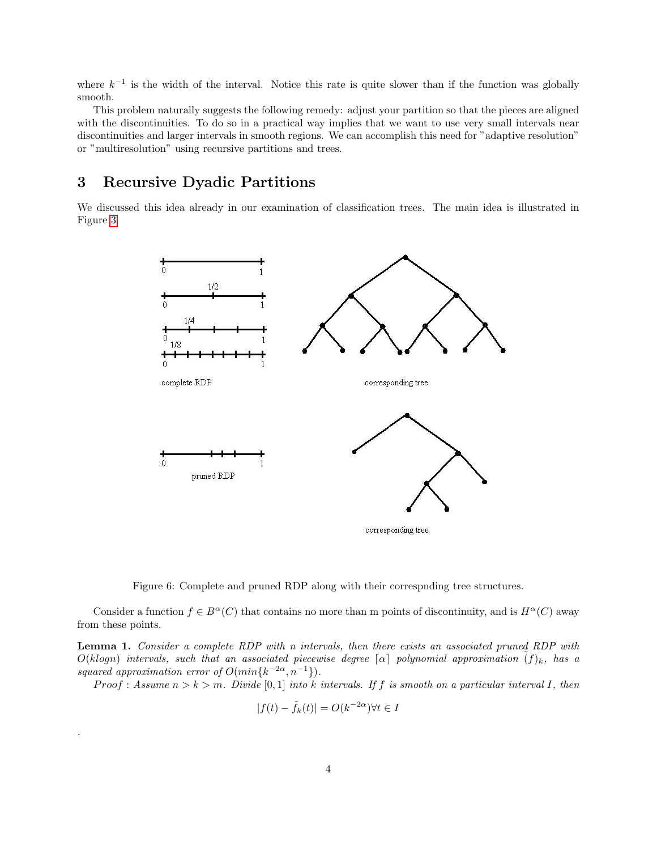where  $k^{-1}$  is the width of the interval. Notice this rate is quite slower than if the function was globally smooth.

This problem naturally suggests the following remedy: adjust your partition so that the pieces are aligned with the discontinuities. To do so in a practical way implies that we want to use very small intervals near discontinuities and larger intervals in smooth regions. We can accomplish this need for "adaptive resolution" or "multiresolution" using recursive partitions and trees.

## <span id="page-3-0"></span>3 Recursive Dyadic Partitions

.

We discussed this idea already in our examination of classification trees. The main idea is illustrated in Figure [3](#page-3-0)



Figure 6: Complete and pruned RDP along with their correspnding tree structures.

Consider a function  $f \in B^{\alpha}(C)$  that contains no more than m points of discontinuity, and is  $H^{\alpha}(C)$  away from these points.

Lemma 1. Consider a complete RDP with n intervals, then there exists an associated pruned RDP with  $O(klogn)$  intervals, such that an associated piecewise degree  $\lceil \alpha \rceil$  polynomial approximation  $(f)_k$ , has a squared approximation error of  $O(min\{k^{-2\alpha}, n^{-1}\})$ .

Proof : Assume  $n > k > m$ . Divide [0,1] into k intervals. If f is smooth on a particular interval I, then

$$
|f(t) - \tilde{f}_k(t)| = O(k^{-2\alpha}) \forall t \in I
$$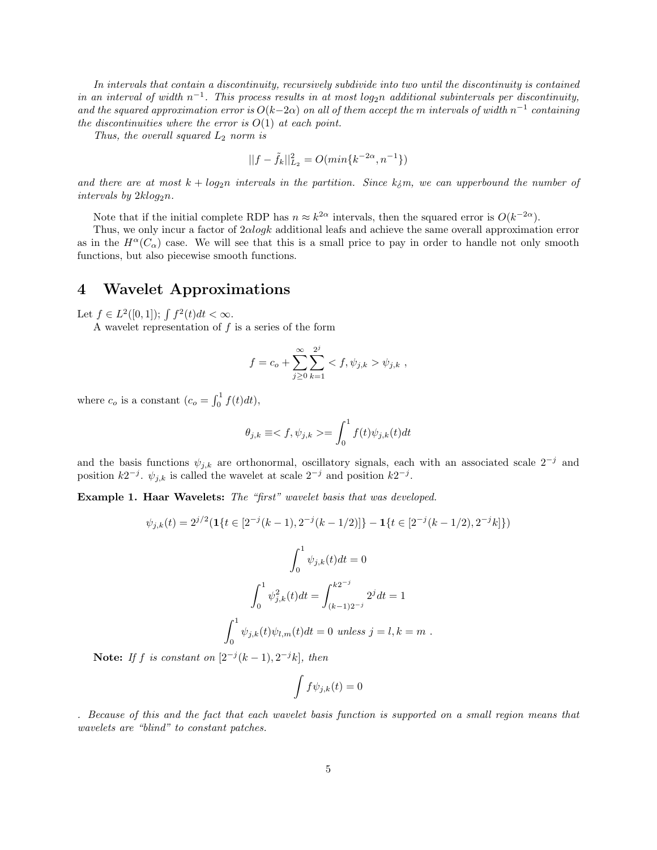In intervals that contain a discontinuity, recursively subdivide into two until the discontinuity is contained in an interval of width  $n^{-1}$ . This process results in at most log<sub>2</sub>n additional subintervals per discontinuity, and the squared approximation error is  $O(k-2\alpha)$  on all of them accept the m intervals of width  $n^{-1}$  containing the discontinuities where the error is  $O(1)$  at each point.

Thus, the overall squared  $L_2$  norm is

$$
||f-\tilde{f}_k||^2_{L_2}=O(\min\{k^{-2\alpha},n^{-1}\})
$$

and there are at most  $k + log_2n$  intervals in the partition. Since  $k_i$ m, we can upperbound the number of intervals by  $2klog_2 n$ .

Note that if the initial complete RDP has  $n \approx k^{2\alpha}$  intervals, then the squared error is  $O(k^{-2\alpha})$ .

Thus, we only incur a factor of  $2\alpha\log k$  additional leafs and achieve the same overall approximation error as in the  $H^{\alpha}(C_{\alpha})$  case. We will see that this is a small price to pay in order to handle not only smooth functions, but also piecewise smooth functions.

### 4 Wavelet Approximations

Let  $f \in L^2([0,1])$ ;  $\int f^2(t)dt < \infty$ .

A wavelet representation of  $f$  is a series of the form

$$
f = c_o + \sum_{j\geq 0}^{\infty} \sum_{k=1}^{2^j} \langle f, \psi_{j,k} \rangle \psi_{j,k} ,
$$

where  $c_o$  is a constant  $(c_o = \int_0^1 f(t) dt)$ ,

$$
\theta_{j,k} \equiv \lt f, \psi_{j,k} \gt = \int_0^1 f(t) \psi_{j,k}(t) dt
$$

and the basis functions  $\psi_{j,k}$  are orthonormal, oscillatory signals, each with an associated scale  $2^{-j}$  and position  $k2^{-j}$ .  $\psi_{j,k}$  is called the wavelet at scale  $2^{-j}$  and position  $k2^{-j}$ .

Example 1. Haar Wavelets: The "first" wavelet basis that was developed.

$$
\psi_{j,k}(t) = 2^{j/2} (\mathbf{1}\{t \in [2^{-j}(k-1), 2^{-j}(k-1/2)]\} - \mathbf{1}\{t \in [2^{-j}(k-1/2), 2^{-j}k]\})
$$

$$
\int_0^1 \psi_{j,k}(t)dt = 0
$$

$$
\int_0^1 \psi_{j,k}^2(t)dt = \int_{(k-1)2^{-j}}^{k2^{-j}} 2^j dt = 1
$$

$$
\int_0^1 \psi_{j,k}(t)\psi_{l,m}(t)dt = 0 \text{ unless } j = l, k = m.
$$

Note: If f is constant on  $[2^{-j}(k-1), 2^{-j}k]$ , then

$$
\int f \psi_{j,k}(t) = 0
$$

. Because of this and the fact that each wavelet basis function is supported on a small region means that wavelets are "blind" to constant patches.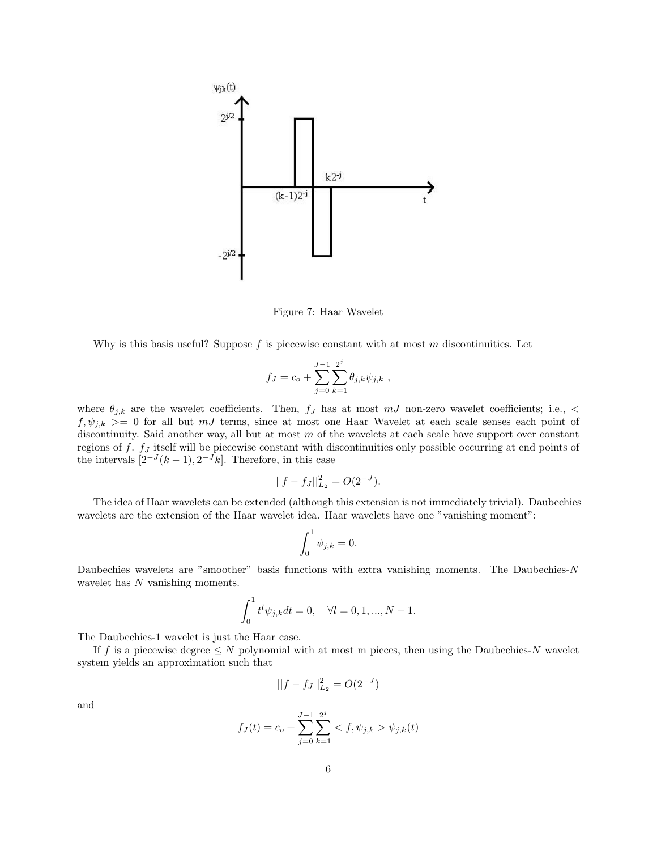

Figure 7: Haar Wavelet

Why is this basis useful? Suppose  $f$  is piecewise constant with at most  $m$  discontinuities. Let

$$
f_J = c_o + \sum_{j=0}^{J-1} \sum_{k=1}^{2^j} \theta_{j,k} \psi_{j,k} ,
$$

where  $\theta_{j,k}$  are the wavelet coefficients. Then,  $f_j$  has at most  $mJ$  non-zero wavelet coefficients; i.e.,  $\lt$  $f, \psi_{j,k} > = 0$  for all but mJ terms, since at most one Haar Wavelet at each scale senses each point of discontinuity. Said another way, all but at most m of the wavelets at each scale have support over constant regions of  $f$ .  $f<sub>J</sub>$  itself will be piecewise constant with discontinuities only possible occurring at end points of the intervals  $[2^{-J}(k-1), 2^{-J}k]$ . Therefore, in this case

$$
||f - f_J||_{L_2}^2 = O(2^{-J}).
$$

The idea of Haar wavelets can be extended (although this extension is not immediately trivial). Daubechies wavelets are the extension of the Haar wavelet idea. Haar wavelets have one "vanishing moment":

$$
\int_0^1 \psi_{j,k} = 0.
$$

Daubechies wavelets are "smoother" basis functions with extra vanishing moments. The Daubechies-N wavelet has N vanishing moments.

$$
\int_0^1 t^l \psi_{j,k} dt = 0, \quad \forall l = 0, 1, ..., N - 1.
$$

The Daubechies-1 wavelet is just the Haar case.

If f is a piecewise degree  $\leq N$  polynomial with at most m pieces, then using the Daubechies-N wavelet system yields an approximation such that

$$
||f - f_J||_{L_2}^2 = O(2^{-J})
$$

and

$$
f_J(t) = c_o + \sum_{j=0}^{J-1} \sum_{k=1}^{2^j} \langle f, \psi_{j,k} \rangle \psi_{j,k}(t)
$$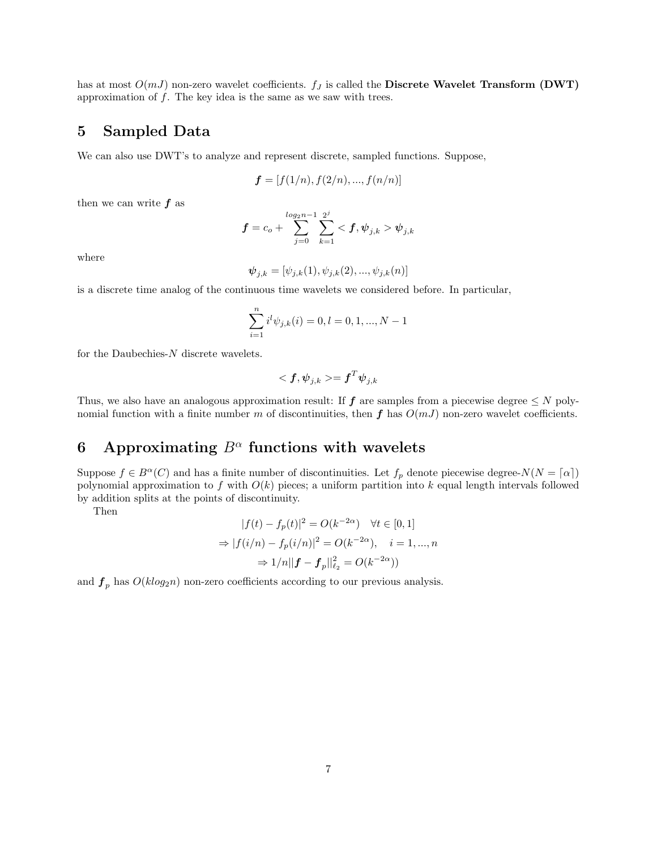has at most  $O(mJ)$  non-zero wavelet coefficients.  $f_J$  is called the Discrete Wavelet Transform (DWT) approximation of  $f$ . The key idea is the same as we saw with trees.

## 5 Sampled Data

We can also use DWT's to analyze and represent discrete, sampled functions. Suppose,

$$
\boldsymbol{f} = [f(1/n), f(2/n), ..., f(n/n)]
$$

then we can write  $f$  as

$$
\bm{f} = c_o + \sum_{j=0}^{log_2 n - 1} \sum_{k=1}^{2^j} <\bm{f}, \bm{\psi}_{j,k} > \bm{\psi}_{j,k}
$$

where

$$
\boldsymbol{\psi}_{j,k} = [\psi_{j,k}(1), \psi_{j,k}(2), ..., \psi_{j,k}(n)]
$$

is a discrete time analog of the continuous time wavelets we considered before. In particular,

$$
\sum_{i=1}^{n} i^{l} \psi_{j,k}(i) = 0, l = 0, 1, ..., N - 1
$$

for the Daubechies-N discrete wavelets.

$$
<\boldsymbol{f},\boldsymbol{\psi}_{j,k}> = \boldsymbol{f}^T\boldsymbol{\psi}_{j,k}
$$

Thus, we also have an analogous approximation result: If  $f$  are samples from a piecewise degree  $\leq N$  polynomial function with a finite number m of discontinuities, then f has  $O(mJ)$  non-zero wavelet coefficients.

## 6 Approximating  $B^{\alpha}$  functions with wavelets

Suppose  $f \in B^{\alpha}(C)$  and has a finite number of discontinuities. Let  $f_p$  denote piecewise degree- $N(N = \lceil \alpha \rceil)$ polynomial approximation to f with  $O(k)$  pieces; a uniform partition into k equal length intervals followed by addition splits at the points of discontinuity.

Then

$$
|f(t) - f_p(t)|^2 = O(k^{-2\alpha}) \quad \forall t \in [0, 1]
$$
  
\n
$$
\Rightarrow |f(i/n) - f_p(i/n)|^2 = O(k^{-2\alpha}), \quad i = 1, ..., n
$$
  
\n
$$
\Rightarrow 1/n||f - f_p||_{\ell_2}^2 = O(k^{-2\alpha})
$$

and  $f_p$  has  $O(klog_2 n)$  non-zero coefficients according to our previous analysis.